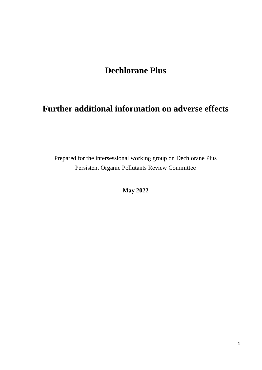# **Dechlorane Plus**

# **Further additional information on adverse effects**

Prepared for the intersessional working group on Dechlorane Plus Persistent Organic Pollutants Review Committee

**May 2022**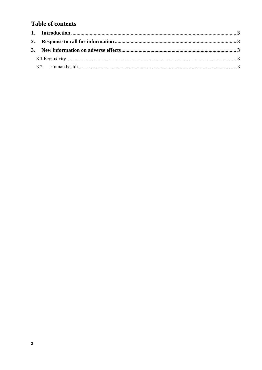# **Table of contents**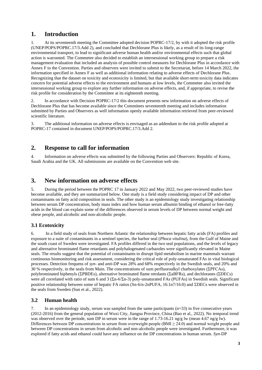## **1. Introduction**

1. At its seventeenth meeting the Committee adopted decision POPRC-17/2, by with it adopted the risk profile (UNEP/POPS/POPRC.17/3.Add 2), and concluded that Dechlorane Plus is likely, as a result of its long-range environmental transport, to lead to significant adverse human health and/or environmental effects such that global action is warranted. The Commetee also decided to establish an intersessional working group to prepare a risk management evaluation that included an analysis of possible control measures for Dechlorane Plus in accordance with Annex F to the Convention. Parties and observers were invited to submit to the Secretariat, before 14 March 2022, the information specified in Annex F as well as additional information relating to adverse effects of Dechlorane Plus. Recognizing that the dataset on toxicity and ecotoxicity is limited, but that available short-term toxicity data indicates concern for potential adverse effects to the environment and humans at low levels, the Commetee also invited the intersessional working group to explore any further information on adverse effects, and, if appropriate, to revise the risk profile for consideration by the Committee at its eighteenth meeting.

In accordance with Decision POPRC-17/2 this document presents new information on adverse effects of Dechlorane Plus that has become available since the Commitees seventeenth meeting and includes information submitted by Parties and Observers as well information openly available information retrieved from peer-reviewed scientific literature.

3. The additional information on adverse effects is envisaged as an addendum to the risk profile adopted at POPRC-17 contained in document UNEP/POPS/POPRC.17/3.Add 2.

### **2. Response to call for information**

4. Information on adverse effects was submitted by the following Parties and Observers: Republic of Korea, Saudi Arabia and the UK. All submissions are available on the Convention web site.

### **3. New information on adverse effects**

5. During the period between the POPRC 17 in January 2022 and May 2022, two peer-reviewed studies have become available, and they are summarized below. One study is a field study considering impact of DP and other contaminants on fatty acid composition in seals. The other study is an epidemiology study investigating relationship between serum DP concentration, body mass index and how human serum albumin binding of ethanol or free-fatty acids in the blood can explain some of the differences observed in serum levels of DP between normal weight and obese people, and alcoholic and non-alcoholic people.

#### **3.1 Ecotoxicity**

6. In a field study of seals from Northern Atlantic the relationship between hepatic fatty acids (FA) profiles and exposure to a suite of contaminants in a sentinel species, the harbor seal (*Phoca vitulina*), from the Gulf of Maine and the south coast of Sweden were investigated. FA profiles differed in the two seal populations, and the levels of legacy and alternative brominated flame retardants and polyhalogenated carbazoles were significantly elevated in Maine seals. The results suggest that the potential of contaminants to disrupt lipid metabolism in marine mammals warrant continuous biomonitoring and risk assessment, considering the critical role of poly-unsaturated FAs in vital biological processes. Detection frequens of *syn-* and *anti*-DP was 28% and 68% respectively in the Swedish seals, and 20% and 30 % respectively, in the seals from Main. The concentrations of sum perfluoroalkyl charboxylates (ΣPFCAs), polybrominated biphenyls (ΣPBDEs), alternative brominated flame retrdants (ΣaBFRs), and dechloranes (ΣDECs) were all correlated with ratio of sum 6 and 3 (Σn-6/Σn-3) poly-unsaturated FAs (PUFAs) in Swedish seals. Significant positive relationship between some of hepatic FA ratios (Sn-6/n-2nPUFA, 16:1n7/16:0) and  $\Sigma$ DECs were observed in the seals from Sweden (Sun et al., 2022).

#### **3.2 Human health**

7. In an epidemiology study, serum was sampled from the same participants (n=33) in five consecutive years (2012-2016) from the general population of Wuxi City, Jiangsu Province, China (Bao et al., 2022). No temporal trend was observed over the periode, sum DP in serum were in the range of 1.73-16.21 ng/g lw (mean 4.67 ng/g lw). Differences between DP concentrations in serum from overweight people (BMI  $\geq$  24.0) and normal weight people and between DP concentrations in serum from alcoholic and non-alcoholic people were investigated. Furthermore, it was explored if fatty acids and ethanol could have any influence on the DP concentrations in human serum. *Syn*-DP